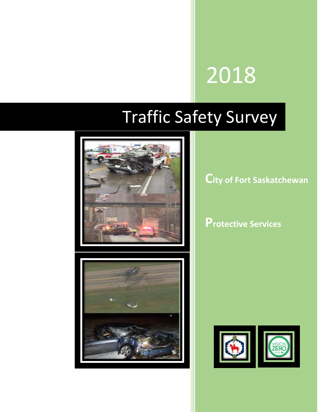# 2018

## Traffic Safety Survey



**City of Fort Saskatchewan**

**Protective Services** 



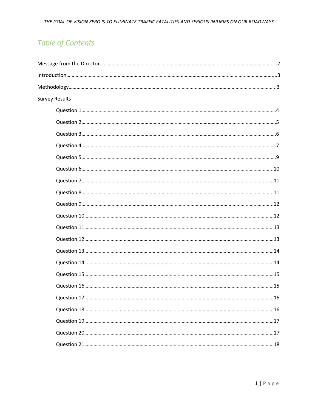## **Table of Contents**

| Survey Results |  |
|----------------|--|
|                |  |
|                |  |
|                |  |
|                |  |
|                |  |
|                |  |
|                |  |
|                |  |
|                |  |
|                |  |
|                |  |
|                |  |
|                |  |
|                |  |
|                |  |
|                |  |
|                |  |
|                |  |
|                |  |
|                |  |
|                |  |
|                |  |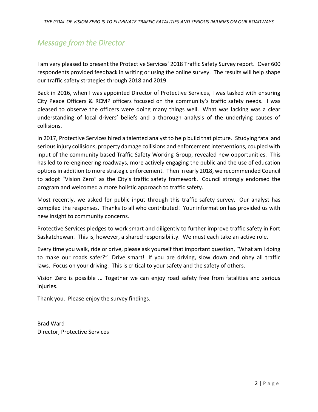## *Message from the Director*

I am very pleased to present the Protective Services' 2018 Traffic Safety Survey report. Over 600 respondents provided feedback in writing or using the online survey. The results will help shape our traffic safety strategies through 2018 and 2019.

Back in 2016, when I was appointed Director of Protective Services, I was tasked with ensuring City Peace Officers & RCMP officers focused on the community's traffic safety needs. I was pleased to observe the officers were doing many things well. What was lacking was a clear understanding of local drivers' beliefs and a thorough analysis of the underlying causes of collisions.

In 2017, Protective Services hired a talented analyst to help build that picture. Studying fatal and serious injury collisions, property damage collisions and enforcement interventions, coupled with input of the community based Traffic Safety Working Group, revealed new opportunities. This has led to re-engineering roadways, more actively engaging the public and the use of education options in addition to more strategic enforcement. Then in early 2018, we recommended Council to adopt "Vision Zero" as the City's traffic safety framework. Council strongly endorsed the program and welcomed a more holistic approach to traffic safety.

Most recently, we asked for public input through this traffic safety survey. Our analyst has compiled the responses. Thanks to all who contributed! Your information has provided us with new insight to community concerns.

Protective Services pledges to work smart and diligently to further improve traffic safety in Fort Saskatchewan. This is, however, a shared responsibility. We must each take an active role.

Every time you walk, ride or drive, please ask yourself that important question, "What am I doing to make our roads safer?" Drive smart! If you are driving, slow down and obey all traffic laws. Focus on your driving. This is critical to your safety and the safety of others.

Vision Zero is possible ... Together we can enjoy road safety free from fatalities and serious injuries.

Thank you. Please enjoy the survey findings.

Brad Ward Director, Protective Services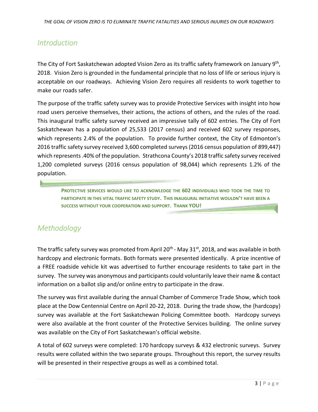## *Introduction*

The City of Fort Saskatchewan adopted Vision Zero as its traffic safety framework on January 9<sup>th</sup>, 2018. Vision Zero is grounded in the fundamental principle that no loss of life or serious injury is acceptable on our roadways. Achieving Vision Zero requires all residents to work together to make our roads safer.

The purpose of the traffic safety survey was to provide Protective Services with insight into how road users perceive themselves, their actions, the actions of others, and the rules of the road. This inaugural traffic safety survey received an impressive tally of 602 entries. The City of Fort Saskatchewan has a population of 25,533 (2017 census) and received 602 survey responses, which represents 2.4% of the population. To provide further context, the City of Edmonton's 2016 traffic safety survey received 3,600 completed surveys (2016 census population of 899,447) which represents .40% of the population. Strathcona County's 2018 traffic safety survey received 1,200 completed surveys (2016 census population of 98,044) which represents 1.2% of the population.

**PROTECTIVE SERVICES WOULD LIKE TO ACKNOWLEDGE THE 602 INDIVIDUALS WHO TOOK THE TIME TO PARTICIPATE IN THIS VITAL TRAFFIC SAFETY STUDY. THIS INAUGURAL INITIATIVE WOULDN'T HAVE BEEN A SUCCESS WITHOUT YOUR COOPERATION AND SUPPORT. THANK YOU!**

## *Methodology*

The traffic safety survey was promoted from April 20<sup>th</sup> - May 31<sup>st</sup>, 2018, and was available in both hardcopy and electronic formats. Both formats were presented identically. A prize incentive of a FREE roadside vehicle kit was advertised to further encourage residents to take part in the survey. The survey was anonymous and participants could voluntarily leave their name & contact information on a ballot slip and/or online entry to participate in the draw.

The survey was first available during the annual Chamber of Commerce Trade Show, which took place at the Dow Centennial Centre on April 20-22, 2018. During the trade show, the {hardcopy} survey was available at the Fort Saskatchewan Policing Committee booth. Hardcopy surveys were also available at the front counter of the Protective Services building. The online survey was available on the City of Fort Saskatchewan's official website.

A total of 602 surveys were completed: 170 hardcopy surveys & 432 electronic surveys. Survey results were collated within the two separate groups. Throughout this report, the survey results will be presented in their respective groups as well as a combined total.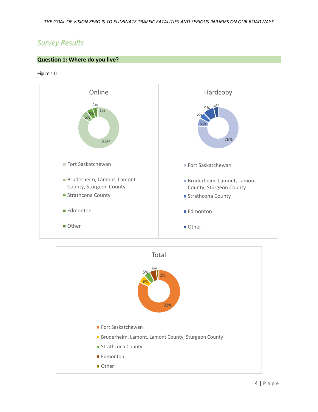## *Survey Results*

#### **Question 1: Where do you live?**

Figure 1.0



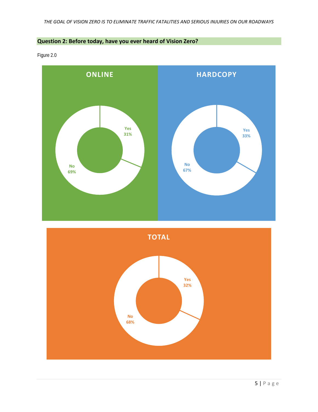#### **Question 2: Before today, have you ever heard of Vision Zero?**

Figure 2.0



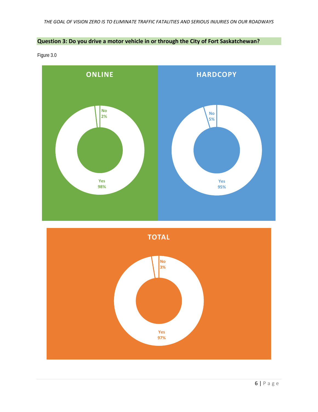#### **Question 3: Do you drive a motor vehicle in or through the City of Fort Saskatchewan?**

Figure 3.0



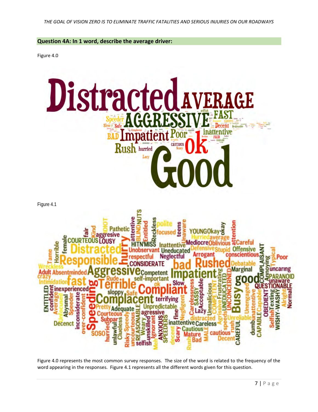#### **Question 4A: In 1 word, describe the average driver:**

Figure 4.0



Figure 4.0 represents the most common survey responses. The size of the word is related to the frequency of the word appearing in the responses. Figure 4.1 represents all the different words given for this question.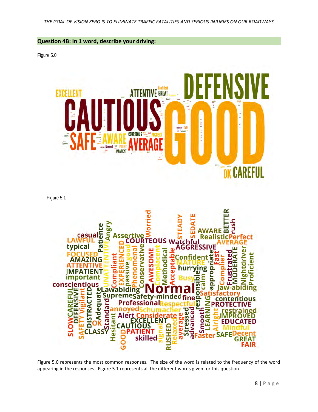#### **Question 4B: In 1 word, describe your driving:**

Figure 5.0



Figure 5.1



Figure 5.0 represents the most common responses. The size of the word is related to the frequency of the word appearing in the responses. Figure 5.1 represents all the different words given for this question.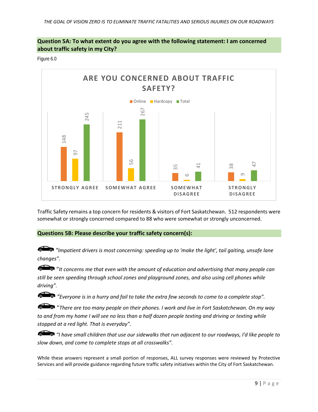#### **Question 5A: To what extent do you agree with the following statement: I am concerned about traffic safety in my City?**

Figure 6.0



Traffic Safety remains a top concern for residents & visitors of Fort Saskatchewan. 512 respondents were somewhat or strongly concerned compared to 88 who were somewhat or strongly unconcerned.

#### **Questions 5B: Please describe your traffic safety concern(s):**

*"Impatient drivers is most concerning: speeding up to 'make the light', tail gaiting, unsafe lane changes".*

"*It concerns me that even with the amount of education and advertising that many people can still be seen speeding through school zones and playground zones, and also using cell phones while driving".* 

*"Everyone is in a hurry and fail to take the extra few seconds to come to a complete stop".* 

"*There are too many people on their phones. I work and live in Fort Saskatchewan. On my way to and from my home I will see no less than a half dozen people texting and driving or texting while stopped at a red light. That is everyday".* 

*"I have small children that use our sidewalks that run adjacent to our roadways, I'd like people to slow down, and come to complete stops at all crosswalks".*

While these answers represent a small portion of responses, ALL survey responses were reviewed by Protective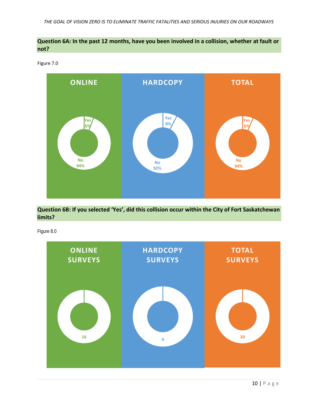#### **Question 6A: In the past 12 months, have you been involved in a collision, whether at fault or not?**

Figure 7.0



**Question 6B: If you selected 'Yes', did this collision occur within the City of Fort Saskatchewan limits?** 

Figure 8.0

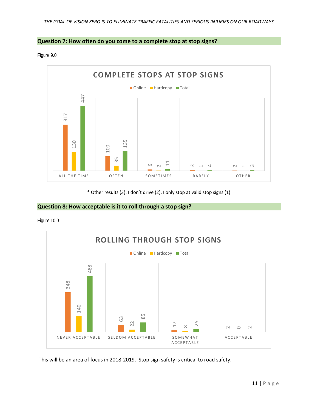

Figure 9.0



\* Other results (3): I don't drive (2), I only stop at valid stop signs (1)

#### **Question 8: How acceptable is it to roll through a stop sign?**

Figure 10.0

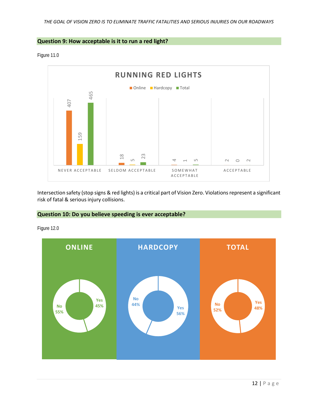#### **Question 9: How acceptable is it to run a red light?**

Figure 11.0



Intersection safety (stop signs & red lights) is a critical part of Vision Zero. Violations represent a significant risk of fatal & serious injury collisions.

#### **Question 10: Do you believe speeding is ever acceptable?**



Figure 12.0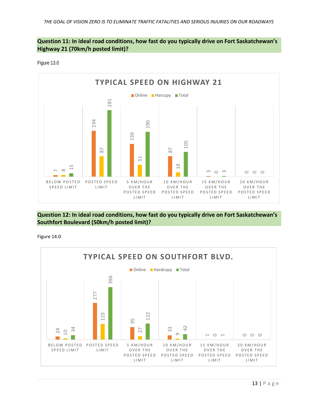#### **Question 11: In ideal road conditions, how fast do you typically drive on Fort Saskatchewan's Highway 21 (70km/h posted limit)?**

Figure 13.0



#### **Question 12: In ideal road conditions, how fast do you typically drive on Fort Saskatchewan's Southfort Boulevard (50km/h posted limit)?**

Figure 14.0

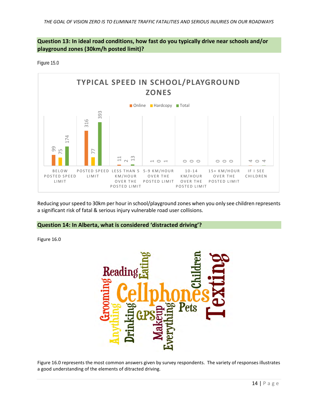#### **Question 13: In ideal road conditions, how fast do you typically drive near schools and/or playground zones (30km/h posted limit)?**

Figure 15.0



Reducing your speed to 30km per hour in school/playground zones when you only see children represents a significant risk of fatal & serious injury vulnerable road user collisions.

#### **Question 14: In Alberta, what is considered 'distracted driving'?**

Figure 16.0



Figure 16.0 represents the most common answers given by survey respondents. The variety of responses illustrates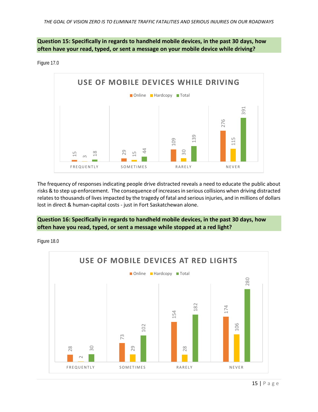**Question 15: Specifically in regards to handheld mobile devices, in the past 30 days, how often have your read, typed, or sent a message on your mobile device while driving?**

Figure 17.0



The frequency of responses indicating people drive distracted reveals a need to educate the public about risks & to step up enforcement. The consequence of increases in serious collisions when driving distracted relates to thousands of lives impacted by the tragedy of fatal and serious injuries, and in millions of dollars lost in direct & human-capital costs - just in Fort Saskatchewan alone.

**Question 16: Specifically in regards to handheld mobile devices, in the past 30 days, how often have you read, typed, or sent a message while stopped at a red light?**

Figure 18.0

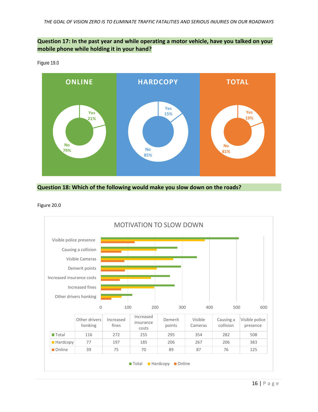#### **Question 17: In the past year and while operating a motor vehicle, have you talked on your mobile phone while holding it in your hand?**



Figure 19.0



Figure 20.0

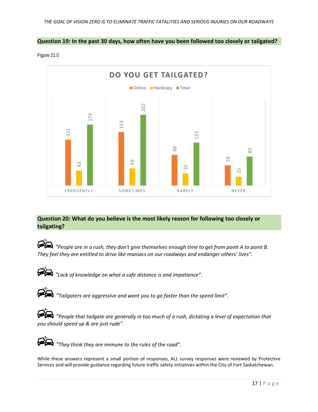#### **Question 19: In the past 30 days, how often have you been followed too closely or tailgated?**

Figure 21.0



#### **Question 20: What do you believe is the most likely reason for following too closely or tailgating?**

*"People are in a rush, they don't give themselves enough time to get from point A to point B. They feel they are entitled to drive like maniacs on our roadways and endanger others' lives".*



*"Lack of knowledge on what a safe distance is and impatience".*

| × |  |
|---|--|

*"Tailgaters are aggressive and want you to go faster than the speed limit".*

*"People that tailgate are generally in too much of a rush, dictating a level of expectation that you should speed up & are just rude".*



*"They think they are immune to the rules of the road".*

While these answers represent a small portion of responses, ALL survey responses were reviewed by Protective